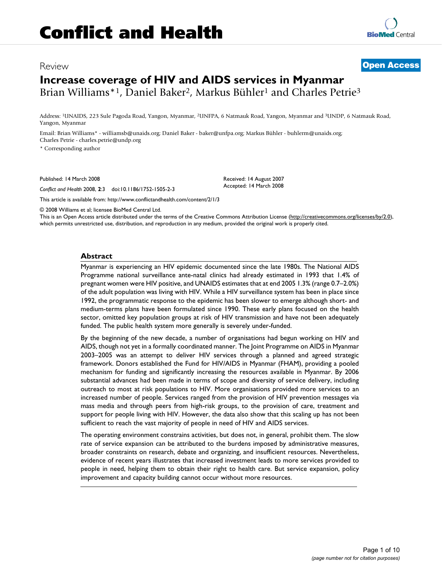# Review **[Open Access](http://www.biomedcentral.com/info/about/charter/)**

# **Increase coverage of HIV and AIDS services in Myanmar** Brian Williams<sup>\*1</sup>, Daniel Baker<sup>2</sup>, Markus Bühler<sup>1</sup> and Charles Petrie<sup>3</sup>

Address: 1UNAIDS, 223 Sule Pagoda Road, Yangon, Myanmar, 2UNFPA, 6 Natmauk Road, Yangon, Myanmar and 3UNDP, 6 Natmauk Road, Yangon, Myanmar

Email: Brian Williams\* - williamsb@unaids.org; Daniel Baker - baker@unfpa.org; Markus Bühler - buhlerm@unaids.org; Charles Petrie - charles.petrie@undp.org

\* Corresponding author

Published: 14 March 2008

*Conflict and Health* 2008, **2**:3 doi:10.1186/1752-1505-2-3

Received: 14 August 2007 Accepted: 14 March 2008

[This article is available from: http://www.conflictandhealth.com/content/2/1/3](http://www.conflictandhealth.com/content/2/1/3)

© 2008 Williams et al; licensee BioMed Central Ltd.

This is an Open Access article distributed under the terms of the Creative Commons Attribution License [\(http://creativecommons.org/licenses/by/2.0\)](http://creativecommons.org/licenses/by/2.0), which permits unrestricted use, distribution, and reproduction in any medium, provided the original work is properly cited.

#### **Abstract**

Myanmar is experiencing an HIV epidemic documented since the late 1980s. The National AIDS Programme national surveillance ante-natal clinics had already estimated in 1993 that 1.4% of pregnant women were HIV positive, and UNAIDS estimates that at end 2005 1.3% (range 0.7–2.0%) of the adult population was living with HIV. While a HIV surveillance system has been in place since 1992, the programmatic response to the epidemic has been slower to emerge although short- and medium-terms plans have been formulated since 1990. These early plans focused on the health sector, omitted key population groups at risk of HIV transmission and have not been adequately funded. The public health system more generally is severely under-funded.

By the beginning of the new decade, a number of organisations had begun working on HIV and AIDS, though not yet in a formally coordinated manner. The Joint Programme on AIDS in Myanmar 2003–2005 was an attempt to deliver HIV services through a planned and agreed strategic framework. Donors established the Fund for HIV/AIDS in Myanmar (FHAM), providing a pooled mechanism for funding and significantly increasing the resources available in Myanmar. By 2006 substantial advances had been made in terms of scope and diversity of service delivery, including outreach to most at risk populations to HIV. More organisations provided more services to an increased number of people. Services ranged from the provision of HIV prevention messages via mass media and through peers from high-risk groups, to the provision of care, treatment and support for people living with HIV. However, the data also show that this scaling up has not been sufficient to reach the vast majority of people in need of HIV and AIDS services.

The operating environment constrains activities, but does not, in general, prohibit them. The slow rate of service expansion can be attributed to the burdens imposed by administrative measures, broader constraints on research, debate and organizing, and insufficient resources. Nevertheless, evidence of recent years illustrates that increased investment leads to more services provided to people in need, helping them to obtain their right to health care. But service expansion, policy improvement and capacity building cannot occur without more resources.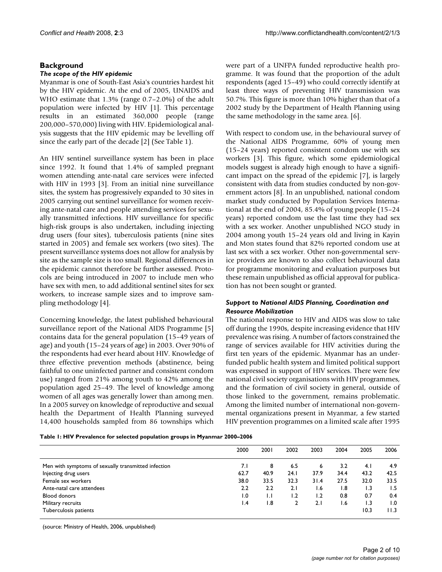# **Background**

### *The scope of the HIV epidemic*

Myanmar is one of South-East Asia's countries hardest hit by the HIV epidemic. At the end of 2005, UNAIDS and WHO estimate that 1.3% (range 0.7–2.0%) of the adult population were infected by HIV [1]. This percentage results in an estimated 360,000 people (range 200,000–570,000) living with HIV. Epidemiological analysis suggests that the HIV epidemic may be levelling off since the early part of the decade [2] (See Table 1).

An HIV sentinel surveillance system has been in place since 1992. It found that 1.4% of sampled pregnant women attending ante-natal care services were infected with HIV in 1993 [3]. From an initial nine surveillance sites, the system has progressively expanded to 30 sites in 2005 carrying out sentinel surveillance for women receiving ante-natal care and people attending services for sexually transmitted infections. HIV surveillance for specific high-risk groups is also undertaken, including injecting drug users (four sites), tuberculosis patients (nine sites started in 2005) and female sex workers (two sites). The present surveillance systems does not allow for analysis by site as the sample size is too small. Regional differences in the epidemic cannot therefore be further assessed. Protocols are being introduced in 2007 to include men who have sex with men, to add additional sentinel sites for sex workers, to increase sample sizes and to improve sampling methodology [4].

Concerning knowledge, the latest published behavioural surveillance report of the National AIDS Programme [5] contains data for the general population (15–49 years of age) and youth (15–24 years of age) in 2003. Over 90% of the respondents had ever heard about HIV. Knowledge of three effective prevention methods (abstinence, being faithful to one uninfected partner and consistent condom use) ranged from 21% among youth to 42% among the population aged 25–49. The level of knowledge among women of all ages was generally lower than among men. In a 2005 survey on knowledge of reproductive and sexual health the Department of Health Planning surveyed 14,400 households sampled from 86 townships which

were part of a UNFPA funded reproductive health programme. It was found that the proportion of the adult respondents (aged 15–49) who could correctly identify at least three ways of preventing HIV transmission was 50.7%. This figure is more than 10% higher than that of a 2002 study by the Department of Health Planning using the same methodology in the same area. [6].

With respect to condom use, in the behavioural survey of the National AIDS Programme, 60% of young men (15–24 years) reported consistent condom use with sex workers [3]. This figure, which some epidemiological models suggest is already high enough to have a significant impact on the spread of the epidemic [7], is largely consistent with data from studies conducted by non-government actors [8]. In an unpublished, national condom market study conducted by Population Services International at the end of 2004, 85.4% of young people (15–24 years) reported condom use the last time they had sex with a sex worker. Another unpublished NGO study in 2004 among youth 15–24 years old and living in Kayin and Mon states found that 82% reported condom use at last sex with a sex worker. Other non-governmental service providers are known to also collect behavioural data for programme monitoring and evaluation purposes but these remain unpublished as official approval for publication has not been sought or granted.

# *Support to National AIDS Planning, Coordination and Resource Mobilization*

The national response to HIV and AIDS was slow to take off during the 1990s, despite increasing evidence that HIV prevalence was rising. A number of factors constrained the range of services available for HIV activities during the first ten years of the epidemic. Myanmar has an underfunded public health system and limited political support was expressed in support of HIV services. There were few national civil society organisations with HIV programmes, and the formation of civil society in general, outside of those linked to the government, remains problematic. Among the limited number of international non-governmental organizations present in Myanmar, a few started HIV prevention programmes on a limited scale after 1995

**Table 1: HIV Prevalence for selected population groups in Myanmar 2000–2006**

|                                                     | 2000            | 2001 | 2002 | 2003 | 2004 | 2005 | 2006 |
|-----------------------------------------------------|-----------------|------|------|------|------|------|------|
| Men with symptoms of sexually transmitted infection | 7. I            | 8    | 6.5  | 6    | 3.2  | 4.1  | 4.9  |
| Injecting drug users                                | 62.7            | 40.9 | 24.1 | 37.9 | 34.4 | 43.2 | 42.5 |
| Female sex workers                                  | 38.0            | 33.5 | 32.3 | 31.4 | 27.5 | 32.0 | 33.5 |
| Ante-natal care attendees                           | 2.2             | 2.2  | 2.1  | 6. ا | I.8  | 1.3  | 1.5  |
| <b>Blood donors</b>                                 | 1.0             | IJ   | 1.2  | 1.2  | 0.8  | 0.7  | 0.4  |
| Military recruits                                   | $\mathsf{I}$ .4 | l.8  | 2    | 2.1  | 6. ا | 1.3  | 1.0  |
| Tuberculosis patients                               |                 |      |      |      |      | 10.3 | 11.3 |

(source: Ministry of Health, 2006, unpublished)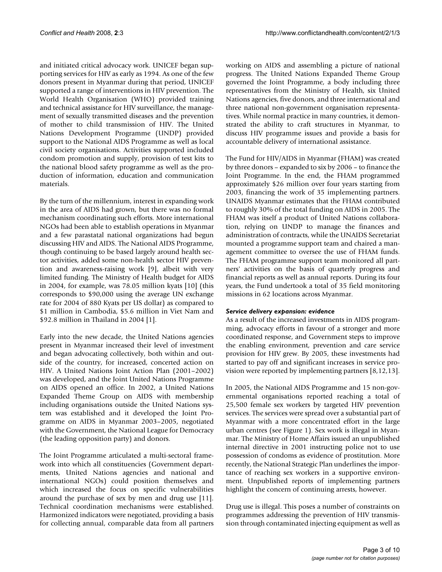and initiated critical advocacy work. UNICEF began supporting services for HIV as early as 1994. As one of the few donors present in Myanmar during that period, UNICEF supported a range of interventions in HIV prevention. The World Health Organisation (WHO) provided training and technical assistance for HIV surveillance, the management of sexually transmitted diseases and the prevention of mother to child transmission of HIV. The United Nations Development Programme (UNDP) provided support to the National AIDS Programme as well as local civil society organisations. Activities supported included condom promotion and supply, provision of test kits to the national blood safety programme as well as the production of information, education and communication materials.

By the turn of the millennium, interest in expanding work in the area of AIDS had grown, but there was no formal mechanism coordinating such efforts. More international NGOs had been able to establish operations in Myanmar and a few parastatal national organizations had begun discussing HIV and AIDS. The National AIDS Programme, though continuing to be based largely around health sector activities, added some non-health sector HIV prevention and awareness-raising work [9], albeit with very limited funding. The Ministry of Health budget for AIDS in 2004, for example, was 78.05 million kyats [10] (this corresponds to \$90,000 using the average UN exchange rate for 2004 of 880 Kyats per US dollar) as compared to \$1 million in Cambodia, \$5.6 million in Viet Nam and \$92.8 million in Thailand in 2004 [1].

Early into the new decade, the United Nations agencies present in Myanmar increased their level of investment and began advocating collectively, both within and outside of the country, for increased, concerted action on HIV. A United Nations Joint Action Plan (2001–2002) was developed, and the Joint United Nations Programme on AIDS opened an office. In 2002, a United Nations Expanded Theme Group on AIDS with membership including organisations outside the United Nations system was established and it developed the Joint Programme on AIDS in Myanmar 2003–2005, negotiated with the Government, the National League for Democracy (the leading opposition party) and donors.

The Joint Programme articulated a multi-sectoral framework into which all constituencies (Government departments, United Nations agencies and national and international NGOs) could position themselves and which increased the focus on specific vulnerabilities around the purchase of sex by men and drug use [11]. Technical coordination mechanisms were established. Harmonized indicators were negotiated, providing a basis for collecting annual, comparable data from all partners

working on AIDS and assembling a picture of national progress. The United Nations Expanded Theme Group governed the Joint Programme, a body including three representatives from the Ministry of Health, six United Nations agencies, five donors, and three international and three national non-government organisation representatives. While normal practice in many countries, it demonstrated the ability to craft structures in Myanmar, to discuss HIV programme issues and provide a basis for accountable delivery of international assistance.

The Fund for HIV/AIDS in Myanmar (FHAM) was created by three donors – expanded to six by 2006 – to finance the Joint Programme. In the end, the FHAM programmed approximately \$26 million over four years starting from 2003, financing the work of 35 implementing partners. UNAIDS Myanmar estimates that the FHAM contributed to roughly 30% of the total funding on AIDS in 2005. The FHAM was itself a product of United Nations collaboration, relying on UNDP to manage the finances and administration of contracts, while the UNAIDS Secretariat mounted a programme support team and chaired a management committee to oversee the use of FHAM funds. The FHAM programme support team monitored all partners' activities on the basis of quarterly progress and financial reports as well as annual reports. During its four years, the Fund undertook a total of 35 field monitoring missions in 62 locations across Myanmar.

# *Service delivery expansion: evidence*

As a result of the increased investments in AIDS programming, advocacy efforts in favour of a stronger and more coordinated response, and Government steps to improve the enabling environment, prevention and care service provision for HIV grew. By 2005, these investments had started to pay off and significant increases in service provision were reported by implementing partners [8,12,13].

In 2005, the National AIDS Programme and 15 non-governmental organisations reported reaching a total of 25,500 female sex workers by targeted HIV prevention services. The services were spread over a substantial part of Myanmar with a more concentrated effort in the large urban centres (see Figure 1). Sex work is illegal in Myanmar. The Ministry of Home Affairs issued an unpublished internal directive in 2001 instructing police not to use possession of condoms as evidence of prostitution. More recently, the National Strategic Plan underlines the importance of reaching sex workers in a supportive environment. Unpublished reports of implementing partners highlight the concern of continuing arrests, however.

Drug use is illegal. This poses a number of constraints on programmes addressing the prevention of HIV transmission through contaminated injecting equipment as well as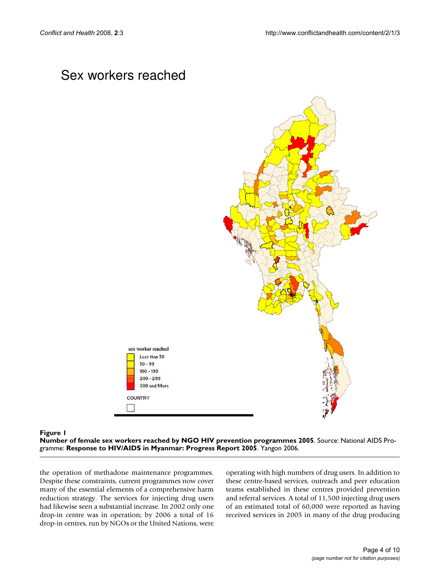# Sex workers reached



### Number of female sex workers reached **Figure 1** by NGO HIV prevention programmes 2005

**Number of female sex workers reached by NGO HIV prevention programmes 2005**. Source: National AIDS Programme: **Response to HIV/AIDS in Myanmar: Progress Report 2005**. Yangon 2006.

the operation of methadone maintenance programmes. Despite these constraints, current programmes now cover many of the essential elements of a comprehensive harm reduction strategy. The services for injecting drug users had likewise seen a substantial increase. In 2002 only one drop-in centre was in operation; by 2006 a total of 16 drop-in centres, run by NGOs or the United Nations, were operating with high numbers of drug users. In addition to these centre-based services, outreach and peer education teams established in these centres provided prevention and referral services. A total of 11,500 injecting drug users of an estimated total of 60,000 were reported as having received services in 2005 in many of the drug producing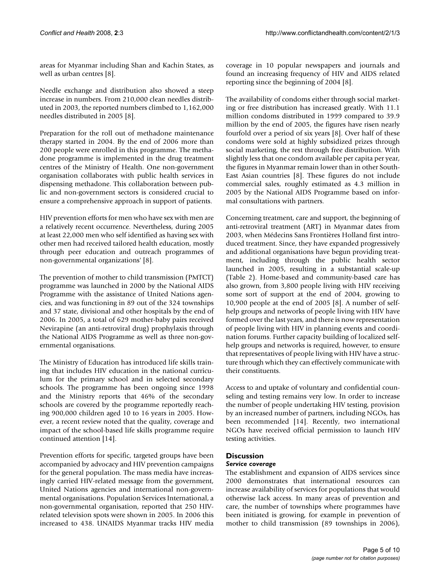areas for Myanmar including Shan and Kachin States, as well as urban centres [8].

Needle exchange and distribution also showed a steep increase in numbers. From 210,000 clean needles distributed in 2003, the reported numbers climbed to 1,162,000 needles distributed in 2005 [8].

Preparation for the roll out of methadone maintenance therapy started in 2004. By the end of 2006 more than 200 people were enrolled in this programme. The methadone programme is implemented in the drug treatment centres of the Ministry of Health. One non-government organisation collaborates with public health services in dispensing methadone. This collaboration between public and non-government sectors is considered crucial to ensure a comprehensive approach in support of patients.

HIV prevention efforts for men who have sex with men are a relatively recent occurrence. Nevertheless, during 2005 at least 22,000 men who self identified as having sex with other men had received tailored health education, mostly through peer education and outreach programmes of non-governmental organizations' [8].

The prevention of mother to child transmission (PMTCT) programme was launched in 2000 by the National AIDS Programme with the assistance of United Nations agencies, and was functioning in 89 out of the 324 townships and 37 state, divisional and other hospitals by the end of 2006. In 2005, a total of 629 mother-baby pairs received Nevirapine (an anti-retroviral drug) prophylaxis through the National AIDS Programme as well as three non-governmental organisations.

The Ministry of Education has introduced life skills training that includes HIV education in the national curriculum for the primary school and in selected secondary schools. The programme has been ongoing since 1998 and the Ministry reports that 46% of the secondary schools are covered by the programme reportedly reaching 900,000 children aged 10 to 16 years in 2005. However, a recent review noted that the quality, coverage and impact of the school-based life skills programme require continued attention [14].

Prevention efforts for specific, targeted groups have been accompanied by advocacy and HIV prevention campaigns for the general population. The mass media have increasingly carried HIV-related message from the government, United Nations agencies and international non-governmental organisations. Population Services International, a non-governmental organisation, reported that 250 HIVrelated television spots were shown in 2005. In 2006 this increased to 438. UNAIDS Myanmar tracks HIV media coverage in 10 popular newspapers and journals and found an increasing frequency of HIV and AIDS related reporting since the beginning of 2004 [8].

The availability of condoms either through social marketing or free distribution has increased greatly. With 11.1 million condoms distributed in 1999 compared to 39.9 million by the end of 2005, the figures have risen nearly fourfold over a period of six years [8]. Over half of these condoms were sold at highly subsidized prizes through social marketing, the rest through free distribution. With slightly less that one condom available per capita per year, the figures in Myanmar remain lower than in other South-East Asian countries [8]. These figures do not include commercial sales, roughly estimated as 4.3 million in 2005 by the National AIDS Programme based on informal consultations with partners.

Concerning treatment, care and support, the beginning of anti-retroviral treatment (ART) in Myanmar dates from 2003, when Médecins Sans Frontières Holland first introduced treatment. Since, they have expanded progressively and additional organisations have begun providing treatment, including through the public health sector launched in 2005, resulting in a substantial scale-up (Table 2). Home-based and community-based care has also grown, from 3,800 people living with HIV receiving some sort of support at the end of 2004, growing to 10,900 people at the end of 2005 [8]. A number of selfhelp groups and networks of people living with HIV have formed over the last years, and there is now representation of people living with HIV in planning events and coordination forums. Further capacity building of localized selfhelp groups and networks is required, however, to ensure that representatives of people living with HIV have a structure through which they can effectively communicate with their constituents.

Access to and uptake of voluntary and confidential counseling and testing remains very low. In order to increase the number of people undertaking HIV testing, provision by an increased number of partners, including NGOs, has been recommended [14]. Recently, two international NGOs have received official permission to launch HIV testing activities.

# **Discussion**

# *Service coverage*

The establishment and expansion of AIDS services since 2000 demonstrates that international resources can increase availability of services for populations that would otherwise lack access. In many areas of prevention and care, the number of townships where programmes have been initiated is growing, for example in prevention of mother to child transmission (89 townships in 2006),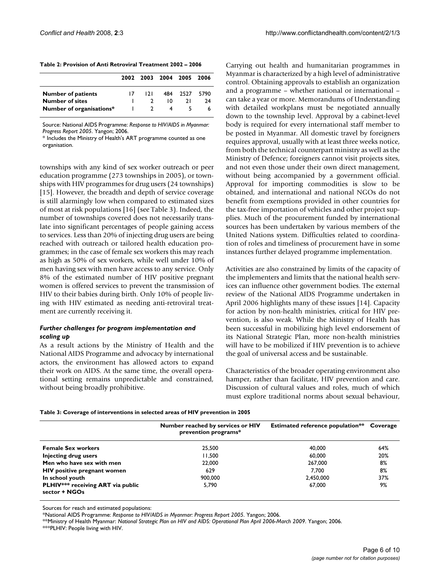|                                                     |                      | 2002 2003 2004 2005 2006 |                |            |
|-----------------------------------------------------|----------------------|--------------------------|----------------|------------|
| <b>Number of patients</b><br><b>Number of sites</b> | 121<br>$\mathcal{L}$ | 10                       | 484 2527<br>21 | 5790<br>74 |
| Number of organisations*                            | $\mathcal{L}$        |                          |                |            |

Source: National AIDS Programme: *Response to HIV/AIDS in Myanmar: Progress Report 2005*. Yangon; 2006.

\* Includes the Ministry of Health's ART programme counted as one organisation.

townships with any kind of sex worker outreach or peer education programme (273 townships in 2005), or townships with HIV programmes for drug users (24 townships) [15]. However, the breadth and depth of service coverage is still alarmingly low when compared to estimated sizes of most at risk populations [16] (see Table 3). Indeed, the number of townships covered does not necessarily translate into significant percentages of people gaining access to services. Less than 20% of injecting drug users are being reached with outreach or tailored health education programmes; in the case of female sex workers this may reach as high as 50% of sex workers, while well under 10% of men having sex with men have access to any service. Only 8% of the estimated number of HIV positive pregnant women is offered services to prevent the transmission of HIV to their babies during birth. Only 10% of people living with HIV estimated as needing anti-retroviral treatment are currently receiving it.

#### *Further challenges for program implementation and scaling up*

As a result actions by the Ministry of Health and the National AIDS Programme and advocacy by international actors, the environment has allowed actors to expand their work on AIDS. At the same time, the overall operational setting remains unpredictable and constrained, without being broadly prohibitive.

Carrying out health and humanitarian programmes in Myanmar is characterized by a high level of administrative control. Obtaining approvals to establish an organization and a programme – whether national or international – can take a year or more. Memorandums of Understanding with detailed workplans must be negotiated annually down to the township level. Approval by a cabinet-level body is required for every international staff member to be posted in Myanmar. All domestic travel by foreigners requires approval, usually with at least three weeks notice, from both the technical counterpart ministry as well as the Ministry of Defence; foreigners cannot visit projects sites, and not even those under their own direct management, without being accompanied by a government official. Approval for importing commodities is slow to be obtained, and international and national NGOs do not benefit from exemptions provided in other countries for the tax-free importation of vehicles and other project supplies. Much of the procurement funded by international sources has been undertaken by various members of the United Nations system. Difficulties related to coordination of roles and timeliness of procurement have in some instances further delayed programme implementation.

Activities are also constrained by limits of the capacity of the implementers and limits that the national health services can influence other government bodies. The external review of the National AIDS Programme undertaken in April 2006 highlights many of these issues [14]. Capacity for action by non-health ministries, critical for HIV prevention, is also weak. While the Ministry of Health has been successful in mobilizing high level endorsement of its National Strategic Plan, more non-health ministries will have to be mobilized if HIV prevention is to achieve the goal of universal access and be sustainable.

Characteristics of the broader operating environment also hamper, rather than facilitate, HIV prevention and care. Discussion of cultural values and roles, much of which must explore traditional norms about sexual behaviour,

| Table 3: Coverage of interventions in selected areas of HIV prevention in 2005 |  |  |  |
|--------------------------------------------------------------------------------|--|--|--|
|                                                                                |  |  |  |

|                                                    | Number reached by services or HIV<br>prevention programs* | <b>Estimated reference population**</b> | Coverage |
|----------------------------------------------------|-----------------------------------------------------------|-----------------------------------------|----------|
| <b>Female Sex workers</b>                          | 25,500                                                    | 40,000                                  | 64%      |
| Injecting drug users                               | 11.500                                                    | 60,000                                  | 20%      |
| Men who have sex with men                          | 22,000                                                    | 267,000                                 | 8%       |
| <b>HIV</b> positive pregnant women                 | 629                                                       | 7.700                                   | 8%       |
| In school youth                                    | 900,000                                                   | 2,450,000                               | 37%      |
| PLHIV*** receiving ART via public<br>sector + NGOs | 5.790                                                     | 67,000                                  | 9%       |

Sources for reach and estimated populations:

\*National AIDS Programme: *Response to HIV/AIDS in Myanmar: Progress Report 2005*. Yangon; 2006.

\*\*Ministry of Health Myanmar: *National Strategic Plan on HIV and AIDS: Operational Plan April 2006-March 2009*. Yangon; 2006.

\*\*\* PLHIV: People living with HIV.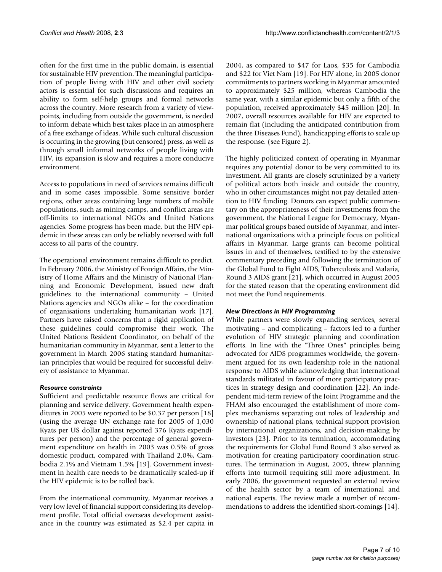often for the first time in the public domain, is essential for sustainable HIV prevention. The meaningful participation of people living with HIV and other civil society actors is essential for such discussions and requires an ability to form self-help groups and formal networks across the country. More research from a variety of viewpoints, including from outside the government, is needed to inform debate which best takes place in an atmosphere of a free exchange of ideas. While such cultural discussion is occurring in the growing (but censored) press, as well as through small informal networks of people living with HIV, its expansion is slow and requires a more conducive environment.

Access to populations in need of services remains difficult and in some cases impossible. Some sensitive border regions, other areas containing large numbers of mobile populations, such as mining camps, and conflict areas are off-limits to international NGOs and United Nations agencies. Some progress has been made, but the HIV epidemic in these areas can only be reliably reversed with full access to all parts of the country.

The operational environment remains difficult to predict. In February 2006, the Ministry of Foreign Affairs, the Ministry of Home Affairs and the Ministry of National Planning and Economic Development, issued new draft guidelines to the international community – United Nations agencies and NGOs alike – for the coordination of organisations undertaking humanitarian work [17]. Partners have raised concerns that a rigid application of these guidelines could compromise their work. The United Nations Resident Coordinator, on behalf of the humanitarian community in Myanmar, sent a letter to the government in March 2006 stating standard humanitarian principles that would be required for successful delivery of assistance to Myanmar.

# *Resource constraints*

Sufficient and predictable resource flows are critical for planning and service delivery. Government health expenditures in 2005 were reported to be \$0.37 per person [18] (using the average UN exchange rate for 2005 of 1,030 Kyats per US dollar against reported 376 Kyats expenditures per person) and the percentage of general government expenditure on health in 2003 was 0.5% of gross domestic product, compared with Thailand 2.0%, Cambodia 2.1% and Vietnam 1.5% [19]. Government investment in health care needs to be dramatically scaled-up if the HIV epidemic is to be rolled back.

From the international community, Myanmar receives a very low level of financial support considering its development profile. Total official overseas development assistance in the country was estimated as \$2.4 per capita in 2004, as compared to \$47 for Laos, \$35 for Cambodia and \$22 for Viet Nam [19]. For HIV alone, in 2005 donor commitments to partners working in Myanmar amounted to approximately \$25 million, whereas Cambodia the same year, with a similar epidemic but only a fifth of the population, received approximately \$45 million [20]. In 2007, overall resources available for HIV are expected to remain flat (including the anticipated contribution from the three Diseases Fund), handicapping efforts to scale up the response. (see Figure 2).

The highly politicized context of operating in Myanmar requires any potential donor to be very committed to its investment. All grants are closely scrutinized by a variety of political actors both inside and outside the country, who in other circumstances might not pay detailed attention to HIV funding. Donors can expect public commentary on the appropriateness of their investments from the government, the National League for Democracy, Myanmar political groups based outside of Myanmar, and international organizations with a principle focus on political affairs in Myanmar. Large grants can become political issues in and of themselves, testified to by the extensive commentary preceding and following the termination of the Global Fund to Fight AIDS, Tuberculosis and Malaria, Round 3 AIDS grant [21], which occurred in August 2005 for the stated reason that the operating environment did not meet the Fund requirements.

# *New Directions in HIV Programming*

While partners were slowly expanding services, several motivating – and complicating – factors led to a further evolution of HIV strategic planning and coordination efforts. In line with the "Three Ones" principles being advocated for AIDS programmes worldwide, the government argued for its own leadership role in the national response to AIDS while acknowledging that international standards militated in favour of more participatory practices in strategy design and coordination [22]. An independent mid-term review of the Joint Programme and the FHAM also encouraged the establishment of more complex mechanisms separating out roles of leadership and ownership of national plans, technical support provision by international organizations, and decision-making by investors [23]. Prior to its termination, accommodating the requirements for Global Fund Round 3 also served as motivation for creating participatory coordination structures. The termination in August, 2005, threw planning efforts into turmoil requiring still more adjustment. In early 2006, the government requested an external review of the health sector by a team of international and national experts. The review made a number of recommendations to address the identified short-comings [14].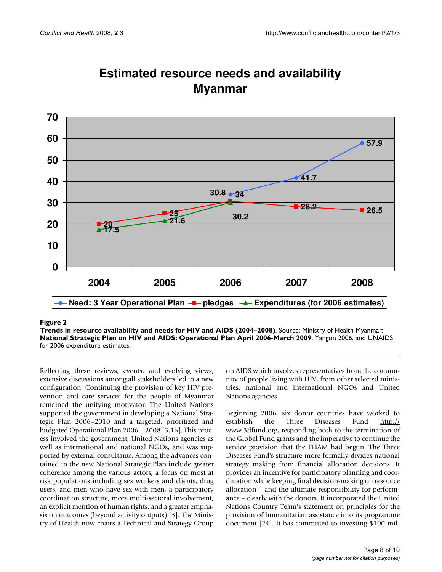

# **Estimated resource needs and availability Myanmar**

# Figure 2

**Trends in resource availability and needs for HIV and AIDS (2004–2008)**. Source: Ministry of Health Myanmar: **National Strategic Plan on HIV and AIDS: Operational Plan April 2006-March 2009**. Yangon 2006. and UNAIDS for 2006 expenditure estimates.

Reflecting these reviews, events, and evolving views, extensive discussions among all stakeholders led to a new configuration. Continuing the provision of key HIV prevention and care services for the people of Myanmar remained the unifying motivator. The United Nations supported the government in developing a National Strategic Plan 2006–2010 and a targeted, prioritized and budgeted Operational Plan 2006 – 2008 [3,16]. This process involved the government, United Nations agencies as well as international and national NGOs, and was supported by external consultants. Among the advances contained in the new National Strategic Plan include greater coherence among the various actors; a focus on most at risk populations including sex workers and clients, drug users, and men who have sex with men, a participatory coordination structure, more multi-sectoral involvement, an explicit mention of human rights, and a greater emphasis on outcomes (beyond activity outputs) [3]. The Ministry of Health now chairs a Technical and Strategy Group

on AIDS which involves representatives from the community of people living with HIV, from other selected ministries, national and international NGOs and United Nations agencies.

Beginning 2006, six donor countries have worked to establish the Three Diseases Fund [http://](http://www.3dfund.org) [www.3dfund.org](http://www.3dfund.org), responding both to the termination of the Global Fund grants and the imperative to continue the service provision that the FHAM had begun. The Three Diseases Fund's structure more formally divides national strategy making from financial allocation decisions. It provides an incentive for participatory planning and coordination while keeping final decision-making on resource allocation – and the ultimate responsibility for performance – clearly with the donors. It incorporated the United Nations Country Team's statement on principles for the provision of humanitarian assistance into its programme document [24]. It has committed to investing \$100 mil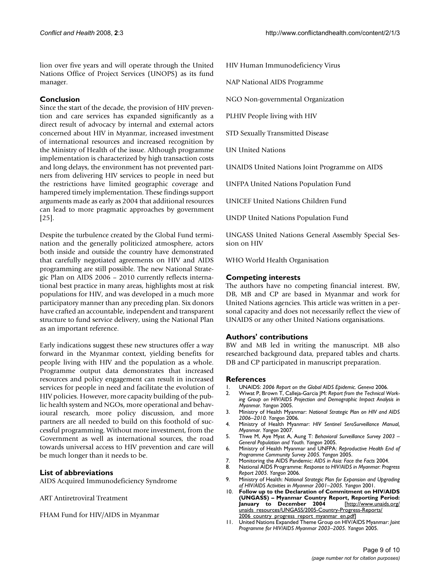lion over five years and will operate through the United Nations Office of Project Services (UNOPS) as its fund manager.

# **Conclusion**

Since the start of the decade, the provision of HIV prevention and care services has expanded significantly as a direct result of advocacy by internal and external actors concerned about HIV in Myanmar, increased investment of international resources and increased recognition by the Ministry of Health of the issue. Although programme implementation is characterized by high transaction costs and long delays, the environment has not prevented partners from delivering HIV services to people in need but the restrictions have limited geographic coverage and hampered timely implementation. These findings support arguments made as early as 2004 that additional resources can lead to more pragmatic approaches by government [25].

Despite the turbulence created by the Global Fund termination and the generally politicized atmosphere, actors both inside and outside the country have demonstrated that carefully negotiated agreements on HIV and AIDS programming are still possible. The new National Strategic Plan on AIDS 2006 – 2010 currently reflects international best practice in many areas, highlights most at risk populations for HIV, and was developed in a much more participatory manner than any preceding plan. Six donors have crafted an accountable, independent and transparent structure to fund service delivery, using the National Plan as an important reference.

Early indications suggest these new structures offer a way forward in the Myanmar context, yielding benefits for people living with HIV and the population as a whole. Programme output data demonstrates that increased resources and policy engagement can result in increased services for people in need and facilitate the evolution of HIV policies. However, more capacity building of the public health system and NGOs, more operational and behavioural research, more policy discussion, and more partners are all needed to build on this foothold of successful programming. Without more investment, from the Government as well as international sources, the road towards universal access to HIV prevention and care will be much longer than it needs to be.

# **List of abbreviations**

AIDS Acquired Immunodeficiency Syndrome

ART Antiretroviral Treatment

FHAM Fund for HIV/AIDS in Myanmar

HIV Human Immunodeficiency Virus

NAP National AIDS Programme

NGO Non-governmental Organization

PLHIV People living with HIV

STD Sexually Transmitted Disease

UN United Nations

UNAIDS United Nations Joint Programme on AIDS

UNFPA United Nations Population Fund

UNICEF United Nations Children Fund

UNDP United Nations Population Fund

UNGASS United Nations General Assembly Special Session on HIV

WHO World Health Organisation

# **Competing interests**

The authors have no competing financial interest. BW, DB, MB and CP are based in Myanmar and work for United Nations agencies. This article was written in a personal capacity and does not necessarily reflect the view of UNAIDS or any other United Nations organisations.

# **Authors' contributions**

BW and MB led in writing the manuscript. MB also researched background data, prepared tables and charts. DB and CP participated in manuscript preparation.

# **References**

- 1. UNAIDS: *2006 Report on the Global AIDS Epidemic. Geneva* 2006.
- 2. Wiwat P, Brown T, Calleja-Garcia JM: *Report from the Technical Working Group on HIV/AIDS Projection and Demographic Impact Analysis in Myanmar. Yangon* 2005.
- 3. Ministry of Health Myanmar: *National Strategic Plan on HIV and AIDS 2006–2010. Yangon* 2006.
- 4. Ministry of Health Myanmar: *HIV Sentinel SeroSurveillance Manual, Myanmar. Yangon* 2007.
- 5. Thwe M, Aye Myat A, Aung T: *Behavioral Surveillance Survey 2003 – General Population and Youth. Yangon* 2005.
- 6. Ministry of Health Myanmar and UNFPA: *Reproductive Health End of Programme Community Survey 2005. Yangon* 2005.
- 7. Monitoring the AIDS Pandemic: *AIDS in Asia: Face the Facts* 2004.
- 8. National AIDS Programme: *Response to HIV/AIDS in Myanmar: Progress Report 2005. Yangon* 2006.
- 9. Ministry of Health: *National Strategic Plan for Expansion and Upgrading of HIV/AIDS Activities in Myanmar 2001–2005. Yangon* 2001.
- 10. **Follow up to the Declaration of Commitment on HIV/AIDS (UNGASS) – Myanmar Country Report, Reporting Period:** January to December 2004 [\[http://www.unaids.org/](http://www.unaids.org/unaids_resources/UNGASS/2005-Country-Progress-Reports/2006_country_progress_report_myanmar_en.pdf) [unaids\\_resources/UNGASS/2005-Country-Progress-Reports/](http://www.unaids.org/unaids_resources/UNGASS/2005-Country-Progress-Reports/2006_country_progress_report_myanmar_en.pdf) 2006 country progress report myanmar en.pdf]
- 11. United Nations Expanded Theme Group on HIV/AIDS Myanmar: *Joint Programme for HIV/AIDS Myanmar 2003–2005. Yangon* 2005.